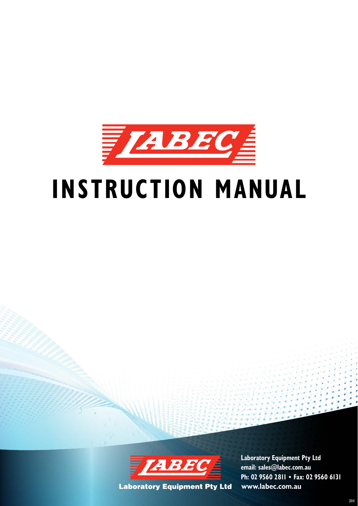

# **INSTRUCTION MANUAL**



**www.labec.com.au Laboratory Equipment Pty Ltd email: sales@labec.com.au Ph: 02 9560 2811 • Fax: 02 9560 6131**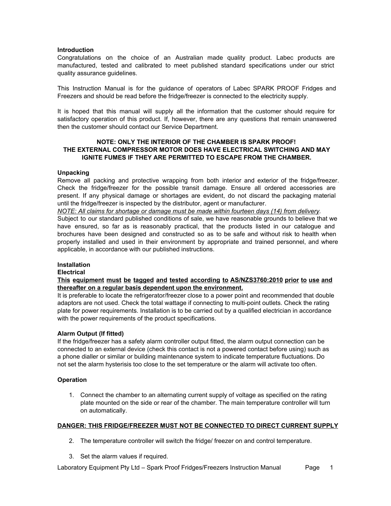### **Introduction**

Congratulations on the choice of an Australian made quality product. Labec products are manufactured, tested and calibrated to meet published standard specifications under our strict quality assurance guidelines.

This Instruction Manual is for the guidance of operators of Labec SPARK PROOF Fridges and Freezers and should be read before the fridge/freezer is connected to the electricity supply.

It is hoped that this manual will supply all the information that the customer should require for satisfactory operation of this product. If, however, there are any questions that remain unanswered then the customer should contact our Service Department.

# **NOTE: ONLY THE INTERIOR OF THE CHAMBER IS SPARK PROOF! THE EXTERNAL COMPRESSOR MOTOR DOES HAVE ELECTRICAL SWITCHING AND MAY IGNITE FUMES IF THEY ARE PERMITTED TO ESCAPE FROM THE CHAMBER.**

# **Unpacking**

Remove all packing and protective wrapping from both interior and exterior of the fridge/freezer. Check the fridge/freezer for the possible transit damage. Ensure all ordered accessories are present. If any physical damage or shortages are evident, do not discard the packaging material until the fridge/freezer is inspected by the distributor, agent or manufacturer.

*NOTE: All claims for shortage or damage must be made within fourteen days (14) from delivery.* Subject to our standard published conditions of sale, we have reasonable grounds to believe that we have ensured, so far as is reasonably practical, that the products listed in our catalogue and brochures have been designed and constructed so as to be safe and without risk to health when properly installed and used in their environment by appropriate and trained personnel, and where applicable, in accordance with our published instructions.

# **Installation**

### **Electrical**

**This equipment must be tagged and tested according to AS/NZS3760:2010 prior to use and thereafter on a regular basis dependent upon the environment.**

It is preferable to locate the refrigerator/freezer close to a power point and recommended that double adaptors are not used. Check the total wattage if connecting to multi-point outlets. Check the rating plate for power requirements. Installation is to be carried out by a qualified electrician in accordance with the power requirements of the product specifications.

### **Alarm Output (If fitted)**

If the fridge/freezer has a safety alarm controller output fitted, the alarm output connection can be connected to an external device (check this contact is not a powered contact before using) such as a phone dialler or similar or building maintenance system to indicate temperature fluctuations. Do not set the alarm hysterisis too close to the set temperature or the alarm will activate too often.

# **Operation**

1. Connect the chamber to an alternating current supply of voltage as specified on the rating plate mounted on the side or rear of the chamber. The main temperature controller will turn on automatically.

### **DANGER: THIS FRIDGE/FREEZER MUST NOT BE CONNECTED TO DIRECT CURRENT SUPPLY**

- 2. The temperature controller will switch the fridge/ freezer on and control temperature.
- 3. Set the alarm values if required.

Laboratory Equipment Pty Ltd – Spark Proof Fridges/Freezers Instruction Manual Page 1